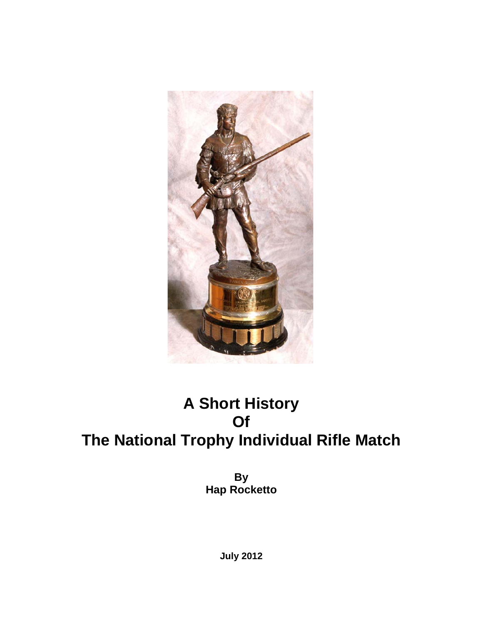

# **A Short History Of The National Trophy Individual Rifle Match**

**By Hap Rocketto** 

**July 2012**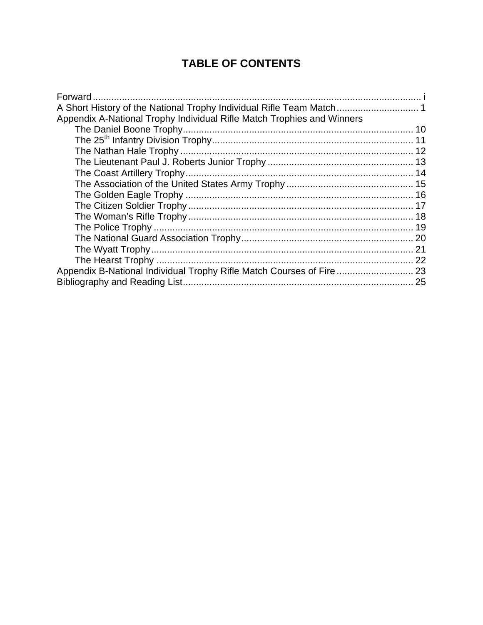# **TABLE OF CONTENTS**

| Appendix A-National Trophy Individual Rifle Match Trophies and Winners |  |
|------------------------------------------------------------------------|--|
|                                                                        |  |
|                                                                        |  |
|                                                                        |  |
|                                                                        |  |
|                                                                        |  |
|                                                                        |  |
|                                                                        |  |
|                                                                        |  |
|                                                                        |  |
|                                                                        |  |
|                                                                        |  |
|                                                                        |  |
|                                                                        |  |
| Appendix B-National Individual Trophy Rifle Match Courses of Fire  23  |  |
|                                                                        |  |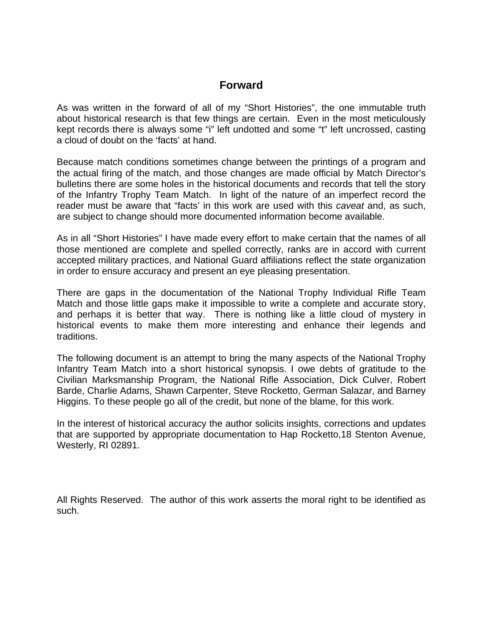# **Forward**

As was written in the forward of all of my "Short Histories", the one immutable truth about historical research is that few things are certain. Even in the most meticulously kept records there is always some "i" left undotted and some "t" left uncrossed, casting a cloud of doubt on the 'facts' at hand.

Because match conditions sometimes change between the printings of a program and the actual firing of the match, and those changes are made official by Match Director's bulletins there are some holes in the historical documents and records that tell the story of the Infantry Trophy Team Match. In light of the nature of an imperfect record the reader must be aware that "facts' in this work are used with this *caveat* and, as such, are subject to change should more documented information become available.

As in all "Short Histories" I have made every effort to make certain that the names of all those mentioned are complete and spelled correctly, ranks are in accord with current accepted military practices, and National Guard affiliations reflect the state organization in order to ensure accuracy and present an eye pleasing presentation.

There are gaps in the documentation of the National Trophy Individual Rifle Team Match and those little gaps make it impossible to write a complete and accurate story, and perhaps it is better that way. There is nothing like a little cloud of mystery in historical events to make them more interesting and enhance their legends and traditions.

The following document is an attempt to bring the many aspects of the National Trophy Infantry Team Match into a short historical synopsis. I owe debts of gratitude to the Civilian Marksmanship Program, the National Rifle Association, Dick Culver, Robert Barde, Charlie Adams, Shawn Carpenter, Steve Rocketto, German Salazar, and Barney Higgins. To these people go all of the credit, but none of the blame, for this work.

In the interest of historical accuracy the author solicits insights, corrections and updates that are supported by appropriate documentation to Hap Rocketto,18 Stenton Avenue, Westerly, RI 02891.

All Rights Reserved. The author of this work asserts the moral right to be identified as such.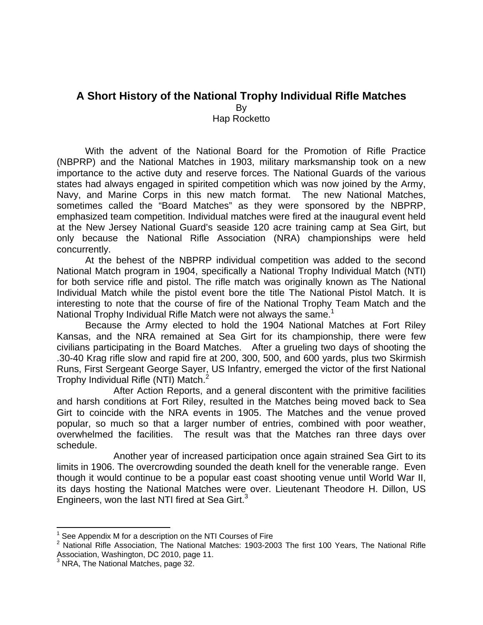# **A Short History of the National Trophy Individual Rifle Matches**  By

Hap Rocketto

With the advent of the National Board for the Promotion of Rifle Practice (NBPRP) and the National Matches in 1903, military marksmanship took on a new importance to the active duty and reserve forces. The National Guards of the various states had always engaged in spirited competition which was now joined by the Army, Navy, and Marine Corps in this new match format. The new National Matches, sometimes called the "Board Matches" as they were sponsored by the NBPRP, emphasized team competition. Individual matches were fired at the inaugural event held at the New Jersey National Guard's seaside 120 acre training camp at Sea Girt, but only because the National Rifle Association (NRA) championships were held concurrently.

At the behest of the NBPRP individual competition was added to the second National Match program in 1904, specifically a National Trophy Individual Match (NTI) for both service rifle and pistol. The rifle match was originally known as The National Individual Match while the pistol event bore the title The National Pistol Match. It is interesting to note that the course of fire of the National Trophy Team Match and the National Trophy Individual Rifle Match were not always the same.<sup>1</sup>

Because the Army elected to hold the 1904 National Matches at Fort Riley Kansas, and the NRA remained at Sea Girt for its championship, there were few civilians participating in the Board Matches. After a grueling two days of shooting the .30-40 Krag rifle slow and rapid fire at 200, 300, 500, and 600 yards, plus two Skirmish Runs, First Sergeant George Sayer, US Infantry, emerged the victor of the first National Trophy Individual Rifle (NTI) Match.<sup>2</sup>

After Action Reports, and a general discontent with the primitive facilities and harsh conditions at Fort Riley, resulted in the Matches being moved back to Sea Girt to coincide with the NRA events in 1905. The Matches and the venue proved popular, so much so that a larger number of entries, combined with poor weather, overwhelmed the facilities. The result was that the Matches ran three days over schedule.

Another year of increased participation once again strained Sea Girt to its limits in 1906. The overcrowding sounded the death knell for the venerable range. Even though it would continue to be a popular east coast shooting venue until World War II, its days hosting the National Matches were over. Lieutenant Theodore H. Dillon, US Engineers, won the last NTI fired at Sea Girt.<sup>3</sup>

 $1$  See Appendix M for a description on the NTI Courses of Fire

 $2$  National Rifle Association, The National Matches: 1903-2003 The first 100 Years, The National Rifle Association, Washington, DC 2010, page 11. 3 NRA, The National Matches, page 32.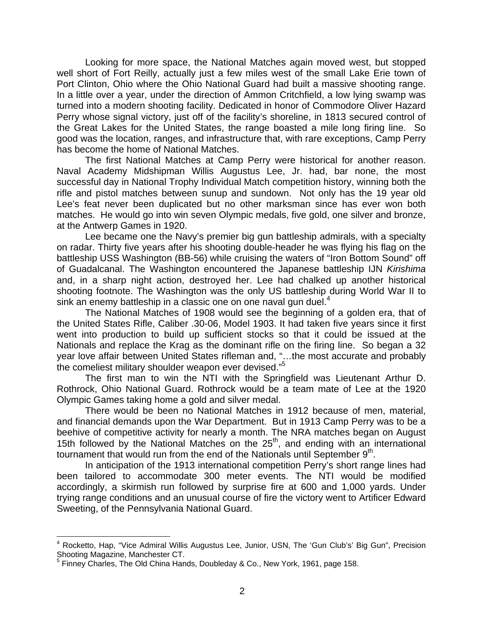Looking for more space, the National Matches again moved west, but stopped well short of Fort Reilly, actually just a few miles west of the small Lake Erie town of Port Clinton, Ohio where the Ohio National Guard had built a massive shooting range. In a little over a year, under the direction of Ammon Critchfield, a low lying swamp was turned into a modern shooting facility. Dedicated in honor of Commodore Oliver Hazard Perry whose signal victory, just off of the facility's shoreline, in 1813 secured control of the Great Lakes for the United States, the range boasted a mile long firing line. So good was the location, ranges, and infrastructure that, with rare exceptions, Camp Perry has become the home of National Matches.

The first National Matches at Camp Perry were historical for another reason. Naval Academy Midshipman Willis Augustus Lee, Jr. had, bar none, the most successful day in National Trophy Individual Match competition history, winning both the rifle and pistol matches between sunup and sundown. Not only has the 19 year old Lee's feat never been duplicated but no other marksman since has ever won both matches. He would go into win seven Olympic medals, five gold, one silver and bronze, at the Antwerp Games in 1920.

Lee became one the Navy's premier big gun battleship admirals, with a specialty on radar. Thirty five years after his shooting double-header he was flying his flag on the battleship USS Washington (BB-56) while cruising the waters of "Iron Bottom Sound" off of Guadalcanal. The Washington encountered the Japanese battleship IJN *Kirishima*  and, in a sharp night action, destroyed her. Lee had chalked up another historical shooting footnote. The Washington was the only US battleship during World War II to sink an enemy battleship in a classic one on one naval gun duel. $4$ 

The National Matches of 1908 would see the beginning of a golden era, that of the United States Rifle, Caliber .30-06, Model 1903. It had taken five years since it first went into production to build up sufficient stocks so that it could be issued at the Nationals and replace the Krag as the dominant rifle on the firing line. So began a 32 year love affair between United States rifleman and, "…the most accurate and probably the comeliest military shoulder weapon ever devised."<sup>5</sup>

The first man to win the NTI with the Springfield was Lieutenant Arthur D. Rothrock, Ohio National Guard. Rothrock would be a team mate of Lee at the 1920 Olympic Games taking home a gold and silver medal.

There would be been no National Matches in 1912 because of men, material, and financial demands upon the War Department. But in 1913 Camp Perry was to be a beehive of competitive activity for nearly a month. The NRA matches began on August 15th followed by the National Matches on the 25<sup>th</sup>, and ending with an international tournament that would run from the end of the Nationals until September  $9<sup>th</sup>$ .

In anticipation of the 1913 international competition Perry's short range lines had been tailored to accommodate 300 meter events. The NTI would be modified accordingly, a skirmish run followed by surprise fire at 600 and 1,000 yards. Under trying range conditions and an unusual course of fire the victory went to Artificer Edward Sweeting, of the Pennsylvania National Guard.

<sup>&</sup>lt;sup>4</sup> Rocketto, Hap, "Vice Admiral Willis Augustus Lee, Junior, USN, The 'Gun Club's' Big Gun", Precision

Shooting Magazine, Manchester CT.<br><sup>5</sup> Finney Charles, The Old China Hands, Doubleday & Co., New York, 1961, page 158.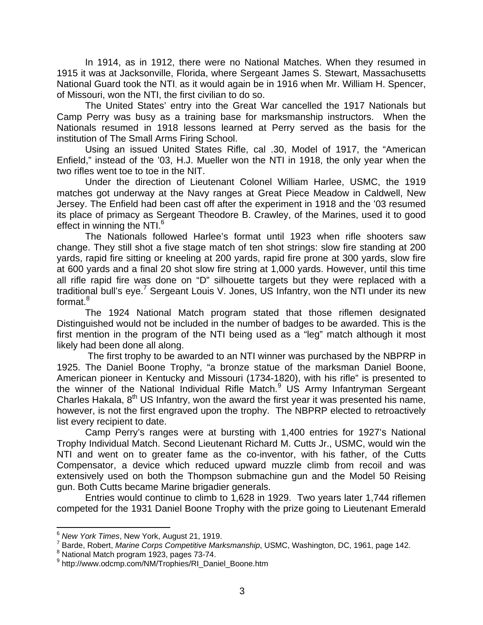In 1914, as in 1912, there were no National Matches. When they resumed in 1915 it was at Jacksonville, Florida, where Sergeant James S. Stewart, Massachusetts National Guard took the NTI, as it would again be in 1916 when Mr. William H. Spencer, of Missouri, won the NTI, the first civilian to do so.

The United States' entry into the Great War cancelled the 1917 Nationals but Camp Perry was busy as a training base for marksmanship instructors. When the Nationals resumed in 1918 lessons learned at Perry served as the basis for the institution of The Small Arms Firing School.

Using an issued United States Rifle, cal .30, Model of 1917, the "American Enfield," instead of the '03, H.J. Mueller won the NTI in 1918, the only year when the two rifles went toe to toe in the NIT.

Under the direction of Lieutenant Colonel William Harlee, USMC, the 1919 matches got underway at the Navy ranges at Great Piece Meadow in Caldwell, New Jersey. The Enfield had been cast off after the experiment in 1918 and the '03 resumed its place of primacy as Sergeant Theodore B. Crawley, of the Marines, used it to good effect in winning the NTI.<sup>6</sup>

The Nationals followed Harlee's format until 1923 when rifle shooters saw change. They still shot a five stage match of ten shot strings: slow fire standing at 200 yards, rapid fire sitting or kneeling at 200 yards, rapid fire prone at 300 yards, slow fire at 600 yards and a final 20 shot slow fire string at 1,000 yards. However, until this time all rifle rapid fire was done on "D" silhouette targets but they were replaced with a traditional bull's eye.<sup>7</sup> Sergeant Louis V. Jones, US Infantry, won the NTI under its new format.<sup>8</sup>

The 1924 National Match program stated that those riflemen designated Distinguished would not be included in the number of badges to be awarded. This is the first mention in the program of the NTI being used as a "leg" match although it most likely had been done all along.

 The first trophy to be awarded to an NTI winner was purchased by the NBPRP in 1925. The Daniel Boone Trophy, "a bronze statue of the marksman Daniel Boone, American pioneer in Kentucky and Missouri (1734-1820), with his rifle" is presented to the winner of the National Individual Rifle Match.<sup>9</sup> US Army Infantryman Sergeant Charles Hakala,  $8<sup>th</sup> US Infantry$ , won the award the first year it was presented his name, however, is not the first engraved upon the trophy. The NBPRP elected to retroactively list every recipient to date.

Camp Perry's ranges were at bursting with 1,400 entries for 1927's National Trophy Individual Match. Second Lieutenant Richard M. Cutts Jr., USMC, would win the NTI and went on to greater fame as the co-inventor, with his father, of the Cutts Compensator, a device which reduced upward muzzle climb from recoil and was extensively used on both the Thompson submachine gun and the Model 50 Reising gun. Both Cutts became Marine brigadier generals.

Entries would continue to climb to 1,628 in 1929. Two years later 1,744 riflemen competed for the 1931 Daniel Boone Trophy with the prize going to Lieutenant Emerald

<sup>&</sup>lt;sup>6</sup> New York Times, New York, August 21, 1919.

<sup>&</sup>lt;sup>7</sup> Barde, Robert, Marine Corps Competitive Marksmanship, USMC, Washington, DC, 1961, page 142.

<sup>&</sup>lt;sup>8</sup> National Match program 1923, pages 73-74.

<sup>9</sup> http://www.odcmp.com/NM/Trophies/RI\_Daniel\_Boone.htm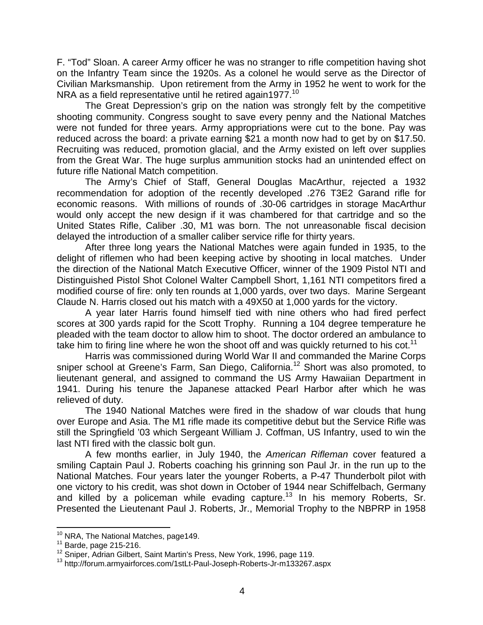F. "Tod" Sloan. A career Army officer he was no stranger to rifle competition having shot on the Infantry Team since the 1920s. As a colonel he would serve as the Director of Civilian Marksmanship. Upon retirement from the Army in 1952 he went to work for the NRA as a field representative until he retired again1977.<sup>10</sup>

The Great Depression's grip on the nation was strongly felt by the competitive shooting community. Congress sought to save every penny and the National Matches were not funded for three years. Army appropriations were cut to the bone. Pay was reduced across the board: a private earning \$21 a month now had to get by on \$17.50. Recruiting was reduced, promotion glacial, and the Army existed on left over supplies from the Great War. The huge surplus ammunition stocks had an unintended effect on future rifle National Match competition.

The Army's Chief of Staff, General Douglas MacArthur, rejected a 1932 recommendation for adoption of the recently developed .276 T3E2 Garand rifle for economic reasons. With millions of rounds of .30-06 cartridges in storage MacArthur would only accept the new design if it was chambered for that cartridge and so the United States Rifle, Caliber .30, M1 was born. The not unreasonable fiscal decision delayed the introduction of a smaller caliber service rifle for thirty years.

After three long years the National Matches were again funded in 1935, to the delight of riflemen who had been keeping active by shooting in local matches. Under the direction of the National Match Executive Officer, winner of the 1909 Pistol NTI and Distinguished Pistol Shot Colonel Walter Campbell Short, 1,161 NTI competitors fired a modified course of fire: only ten rounds at 1,000 yards, over two days. Marine Sergeant Claude N. Harris closed out his match with a 49X50 at 1,000 yards for the victory.

A year later Harris found himself tied with nine others who had fired perfect scores at 300 yards rapid for the Scott Trophy. Running a 104 degree temperature he pleaded with the team doctor to allow him to shoot. The doctor ordered an ambulance to take him to firing line where he won the shoot off and was quickly returned to his cot.<sup>11</sup>

Harris was commissioned during World War II and commanded the Marine Corps sniper school at Greene's Farm, San Diego, California.<sup>12</sup> Short was also promoted, to lieutenant general, and assigned to command the US Army Hawaiian Department in 1941. During his tenure the Japanese attacked Pearl Harbor after which he was relieved of duty.

The 1940 National Matches were fired in the shadow of war clouds that hung over Europe and Asia. The M1 rifle made its competitive debut but the Service Rifle was still the Springfield '03 which Sergeant William J. Coffman, US Infantry, used to win the last NTI fired with the classic bolt gun.

A few months earlier, in July 1940, the *American Rifleman* cover featured a smiling Captain Paul J. Roberts coaching his grinning son Paul Jr. in the run up to the National Matches. Four years later the younger Roberts, a P-47 Thunderbolt pilot with one victory to his credit, was shot down in October of 1944 near Schiffelbach, Germany and killed by a policeman while evading capture.<sup>13</sup> In his memory Roberts, Sr. Presented the Lieutenant Paul J. Roberts, Jr., Memorial Trophy to the NBPRP in 1958

<sup>&</sup>lt;sup>10</sup> NRA, The National Matches, page 149.<br><sup>11</sup> Barde, page 215-216.<br><sup>12</sup> Sniper, Adrian Gilbert, Saint Martin's Press, New York, 1996, page 119.<br><sup>13</sup> http://forum.armyairforces.com/1stLt-Paul-Joseph-Roberts-Jr-m133267.asp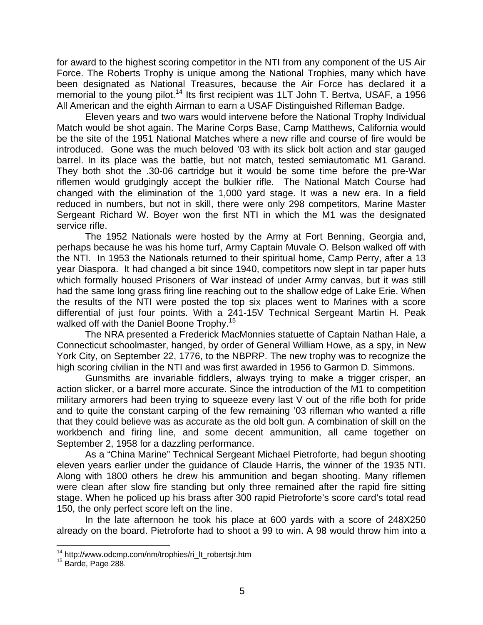for award to the highest scoring competitor in the NTI from any component of the US Air Force. The Roberts Trophy is unique among the National Trophies, many which have been designated as National Treasures, because the Air Force has declared it a memorial to the young pilot.<sup>14</sup> Its first recipient was 1LT John T. Bertva, USAF, a 1956 All American and the eighth Airman to earn a USAF Distinguished Rifleman Badge.

Eleven years and two wars would intervene before the National Trophy Individual Match would be shot again. The Marine Corps Base, Camp Matthews, California would be the site of the 1951 National Matches where a new rifle and course of fire would be introduced. Gone was the much beloved '03 with its slick bolt action and star gauged barrel. In its place was the battle, but not match, tested semiautomatic M1 Garand. They both shot the .30-06 cartridge but it would be some time before the pre-War riflemen would grudgingly accept the bulkier rifle. The National Match Course had changed with the elimination of the 1,000 yard stage. It was a new era. In a field reduced in numbers, but not in skill, there were only 298 competitors, Marine Master Sergeant Richard W. Boyer won the first NTI in which the M1 was the designated service rifle.

The 1952 Nationals were hosted by the Army at Fort Benning, Georgia and, perhaps because he was his home turf, Army Captain Muvale O. Belson walked off with the NTI. In 1953 the Nationals returned to their spiritual home, Camp Perry, after a 13 year Diaspora. It had changed a bit since 1940, competitors now slept in tar paper huts which formally housed Prisoners of War instead of under Army canvas, but it was still had the same long grass firing line reaching out to the shallow edge of Lake Erie. When the results of the NTI were posted the top six places went to Marines with a score differential of just four points. With a 241-15V Technical Sergeant Martin H. Peak walked off with the Daniel Boone Trophy.<sup>15</sup>

The NRA presented a Frederick MacMonnies statuette of Captain Nathan Hale, a Connecticut schoolmaster, hanged, by order of General William Howe, as a spy, in New York City, on September 22, 1776, to the NBPRP. The new trophy was to recognize the high scoring civilian in the NTI and was first awarded in 1956 to Garmon D. Simmons.

Gunsmiths are invariable fiddlers, always trying to make a trigger crisper, an action slicker, or a barrel more accurate. Since the introduction of the M1 to competition military armorers had been trying to squeeze every last V out of the rifle both for pride and to quite the constant carping of the few remaining '03 rifleman who wanted a rifle that they could believe was as accurate as the old bolt gun. A combination of skill on the workbench and firing line, and some decent ammunition, all came together on September 2, 1958 for a dazzling performance.

As a "China Marine" Technical Sergeant Michael Pietroforte, had begun shooting eleven years earlier under the guidance of Claude Harris, the winner of the 1935 NTI. Along with 1800 others he drew his ammunition and began shooting. Many riflemen were clean after slow fire standing but only three remained after the rapid fire sitting stage. When he policed up his brass after 300 rapid Pietroforte's score card's total read 150, the only perfect score left on the line.

In the late afternoon he took his place at 600 yards with a score of 248X250 already on the board. Pietroforte had to shoot a 99 to win. A 98 would throw him into a

 $14$  http://www.odcmp.com/nm/trophies/ri\_lt\_robertsjr.htm  $15$  Barde, Page 288.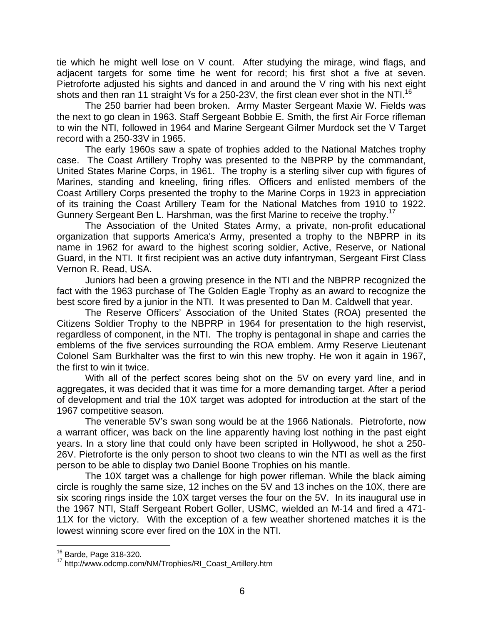tie which he might well lose on V count. After studying the mirage, wind flags, and adjacent targets for some time he went for record; his first shot a five at seven. Pietroforte adjusted his sights and danced in and around the V ring with his next eight shots and then ran 11 straight Vs for a 250-23V, the first clean ever shot in the NTI.<sup>16</sup>

The 250 barrier had been broken. Army Master Sergeant Maxie W. Fields was the next to go clean in 1963. Staff Sergeant Bobbie E. Smith, the first Air Force rifleman to win the NTI, followed in 1964 and Marine Sergeant Gilmer Murdock set the V Target record with a 250-33V in 1965.

The early 1960s saw a spate of trophies added to the National Matches trophy case. The Coast Artillery Trophy was presented to the NBPRP by the commandant, United States Marine Corps, in 1961. The trophy is a sterling silver cup with figures of Marines, standing and kneeling, firing rifles. Officers and enlisted members of the Coast Artillery Corps presented the trophy to the Marine Corps in 1923 in appreciation of its training the Coast Artillery Team for the National Matches from 1910 to 1922. Gunnery Sergeant Ben L. Harshman, was the first Marine to receive the trophy.<sup>17</sup>

The Association of the United States Army, a private, non-profit educational organization that supports America's Army, presented a trophy to the NBPRP in its name in 1962 for award to the highest scoring soldier, Active, Reserve, or National Guard, in the NTI. It first recipient was an active duty infantryman, Sergeant First Class Vernon R. Read, USA.

Juniors had been a growing presence in the NTI and the NBPRP recognized the fact with the 1963 purchase of The Golden Eagle Trophy as an award to recognize the best score fired by a junior in the NTI. It was presented to Dan M. Caldwell that year.

The Reserve Officers' Association of the United States (ROA) presented the Citizens Soldier Trophy to the NBPRP in 1964 for presentation to the high reservist, regardless of component, in the NTI. The trophy is pentagonal in shape and carries the emblems of the five services surrounding the ROA emblem. Army Reserve Lieutenant Colonel Sam Burkhalter was the first to win this new trophy. He won it again in 1967, the first to win it twice.

With all of the perfect scores being shot on the 5V on every yard line, and in aggregates, it was decided that it was time for a more demanding target. After a period of development and trial the 10X target was adopted for introduction at the start of the 1967 competitive season.

The venerable 5V's swan song would be at the 1966 Nationals. Pietroforte, now a warrant officer, was back on the line apparently having lost nothing in the past eight years. In a story line that could only have been scripted in Hollywood, he shot a 250- 26V. Pietroforte is the only person to shoot two cleans to win the NTI as well as the first person to be able to display two Daniel Boone Trophies on his mantle.

The 10X target was a challenge for high power rifleman. While the black aiming circle is roughly the same size, 12 inches on the 5V and 13 inches on the 10X, there are six scoring rings inside the 10X target verses the four on the 5V. In its inaugural use in the 1967 NTI, Staff Sergeant Robert Goller, USMC, wielded an M-14 and fired a 471- 11X for the victory. With the exception of a few weather shortened matches it is the lowest winning score ever fired on the 10X in the NTI.

<sup>&</sup>lt;sup>16</sup> Barde, Page 318-320.<br><sup>17</sup> http://www.odcmp.com/NM/Trophies/RI\_Coast\_Artillery.htm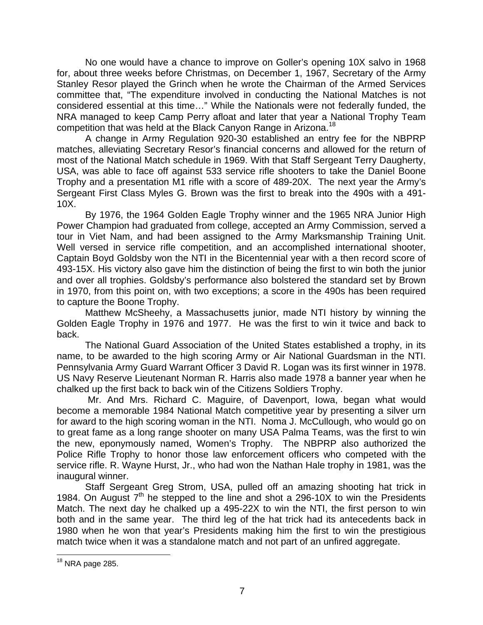No one would have a chance to improve on Goller's opening 10X salvo in 1968 for, about three weeks before Christmas, on December 1, 1967, Secretary of the Army Stanley Resor played the Grinch when he wrote the Chairman of the Armed Services committee that, "The expenditure involved in conducting the National Matches is not considered essential at this time…" While the Nationals were not federally funded, the NRA managed to keep Camp Perry afloat and later that year a National Trophy Team competition that was held at the Black Canyon Range in Arizona.18

A change in Army Regulation 920-30 established an entry fee for the NBPRP matches, alleviating Secretary Resor's financial concerns and allowed for the return of most of the National Match schedule in 1969. With that Staff Sergeant Terry Daugherty, USA, was able to face off against 533 service rifle shooters to take the Daniel Boone Trophy and a presentation M1 rifle with a score of 489-20X. The next year the Army's Sergeant First Class Myles G. Brown was the first to break into the 490s with a 491- 10X.

By 1976, the 1964 Golden Eagle Trophy winner and the 1965 NRA Junior High Power Champion had graduated from college, accepted an Army Commission, served a tour in Viet Nam, and had been assigned to the Army Marksmanship Training Unit. Well versed in service rifle competition, and an accomplished international shooter, Captain Boyd Goldsby won the NTI in the Bicentennial year with a then record score of 493-15X. His victory also gave him the distinction of being the first to win both the junior and over all trophies. Goldsby's performance also bolstered the standard set by Brown in 1970, from this point on, with two exceptions; a score in the 490s has been required to capture the Boone Trophy.

Matthew McSheehy, a Massachusetts junior, made NTI history by winning the Golden Eagle Trophy in 1976 and 1977. He was the first to win it twice and back to back.

The National Guard Association of the United States established a trophy, in its name, to be awarded to the high scoring Army or Air National Guardsman in the NTI. Pennsylvania Army Guard Warrant Officer 3 David R. Logan was its first winner in 1978. US Navy Reserve Lieutenant Norman R. Harris also made 1978 a banner year when he chalked up the first back to back win of the Citizens Soldiers Trophy.

 Mr. And Mrs. Richard C. Maguire, of Davenport, Iowa, began what would become a memorable 1984 National Match competitive year by presenting a silver urn for award to the high scoring woman in the NTI. Noma J. McCullough, who would go on to great fame as a long range shooter on many USA Palma Teams, was the first to win the new, eponymously named, Women's Trophy. The NBPRP also authorized the Police Rifle Trophy to honor those law enforcement officers who competed with the service rifle. R. Wayne Hurst, Jr., who had won the Nathan Hale trophy in 1981, was the inaugural winner.

Staff Sergeant Greg Strom, USA, pulled off an amazing shooting hat trick in 1984. On August  $7<sup>th</sup>$  he stepped to the line and shot a 296-10X to win the Presidents Match. The next day he chalked up a 495-22X to win the NTI, the first person to win both and in the same year. The third leg of the hat trick had its antecedents back in 1980 when he won that year's Presidents making him the first to win the prestigious match twice when it was a standalone match and not part of an unfired aggregate.

 $18$  NRA page 285.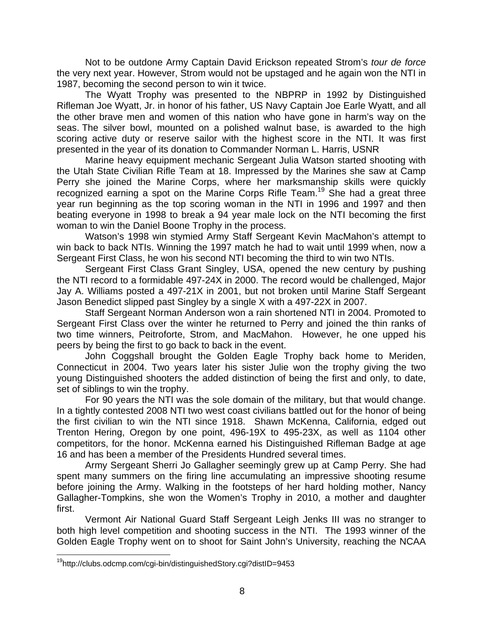Not to be outdone Army Captain David Erickson repeated Strom's *tour de force* the very next year. However, Strom would not be upstaged and he again won the NTI in 1987, becoming the second person to win it twice.

The Wyatt Trophy was presented to the NBPRP in 1992 by Distinguished Rifleman Joe Wyatt, Jr. in honor of his father, US Navy Captain Joe Earle Wyatt, and all the other brave men and women of this nation who have gone in harm's way on the seas. The silver bowl, mounted on a polished walnut base, is awarded to the high scoring active duty or reserve sailor with the highest score in the NTI. It was first presented in the year of its donation to Commander Norman L. Harris, USNR

Marine heavy equipment mechanic Sergeant Julia Watson started shooting with the Utah State Civilian Rifle Team at 18. Impressed by the Marines she saw at Camp Perry she joined the Marine Corps, where her marksmanship skills were quickly recognized earning a spot on the Marine Corps Rifle Team.<sup>19</sup> She had a great three year run beginning as the top scoring woman in the NTI in 1996 and 1997 and then beating everyone in 1998 to break a 94 year male lock on the NTI becoming the first woman to win the Daniel Boone Trophy in the process.

Watson's 1998 win stymied Army Staff Sergeant Kevin MacMahon's attempt to win back to back NTIs. Winning the 1997 match he had to wait until 1999 when, now a Sergeant First Class, he won his second NTI becoming the third to win two NTIs.

Sergeant First Class Grant Singley, USA, opened the new century by pushing the NTI record to a formidable 497-24X in 2000. The record would be challenged, Major Jay A. Williams posted a 497-21X in 2001, but not broken until Marine Staff Sergeant Jason Benedict slipped past Singley by a single X with a 497-22X in 2007.

Staff Sergeant Norman Anderson won a rain shortened NTI in 2004. Promoted to Sergeant First Class over the winter he returned to Perry and joined the thin ranks of two time winners, Peitroforte, Strom, and MacMahon. However, he one upped his peers by being the first to go back to back in the event.

John Coggshall brought the Golden Eagle Trophy back home to Meriden, Connecticut in 2004. Two years later his sister Julie won the trophy giving the two young Distinguished shooters the added distinction of being the first and only, to date, set of siblings to win the trophy.

For 90 years the NTI was the sole domain of the military, but that would change. In a tightly contested 2008 NTI two west coast civilians battled out for the honor of being the first civilian to win the NTI since 1918. Shawn McKenna, California, edged out Trenton Hering, Oregon by one point, 496-19X to 495-23X, as well as 1104 other competitors, for the honor. McKenna earned his Distinguished Rifleman Badge at age 16 and has been a member of the Presidents Hundred several times.

Army Sergeant Sherri Jo Gallagher seemingly grew up at Camp Perry. She had spent many summers on the firing line accumulating an impressive shooting resume before joining the Army. Walking in the footsteps of her hard holding mother, Nancy Gallagher-Tompkins, she won the Women's Trophy in 2010, a mother and daughter first.

Vermont Air National Guard Staff Sergeant Leigh Jenks III was no stranger to both high level competition and shooting success in the NTI. The 1993 winner of the Golden Eagle Trophy went on to shoot for Saint John's University, reaching the NCAA

<sup>19</sup>http://clubs.odcmp.com/cgi-bin/distinguishedStory.cgi?distID=9453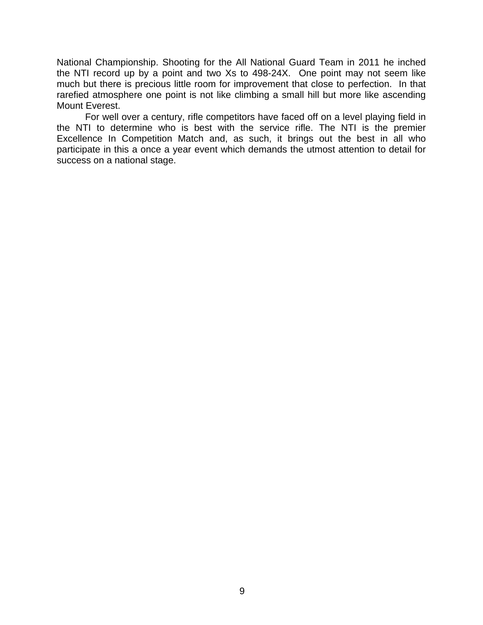National Championship. Shooting for the All National Guard Team in 2011 he inched the NTI record up by a point and two Xs to 498-24X. One point may not seem like much but there is precious little room for improvement that close to perfection. In that rarefied atmosphere one point is not like climbing a small hill but more like ascending Mount Everest.

For well over a century, rifle competitors have faced off on a level playing field in the NTI to determine who is best with the service rifle. The NTI is the premier Excellence In Competition Match and, as such, it brings out the best in all who participate in this a once a year event which demands the utmost attention to detail for success on a national stage.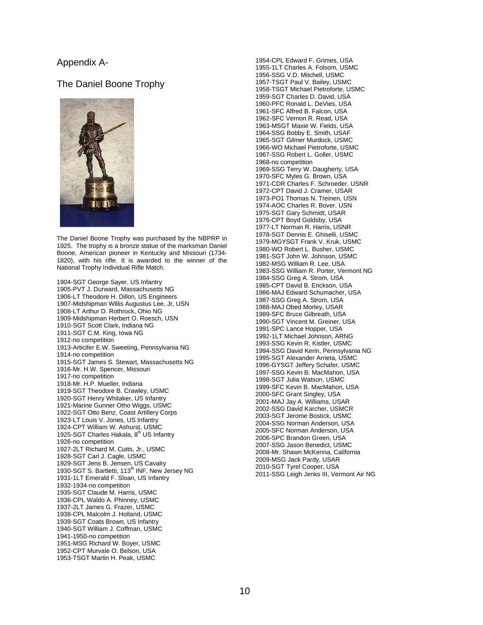### Appendix A-

### The Daniel Boone Trophy



The Daniel Boone Trophy was purchased by the NBPRP in 1925. The trophy is a bronze statue of the marksman Daniel Boone, American pioneer in Kentucky and Missouri (1734- 1820), with his rifle. It is awarded to the winner of the National Trophy Individual Rifle Match.

1904-SGT George Sayer, US Infantry 1905-PVT J. Durward, Massachusetts NG 1906-LT Theodore H. Dillon, US Engineers 1907-Midshipman Willis Augustus Lee, Jr, USN 1908-LT Arthur D. Rothrock, Ohio NG 1909-Midshipman Herbert O. Roesch, USN 1910-SGT Scott Clark, Indiana NG 1911-SGT C.M. King, Iowa NG 1912-no competition 1913-Articifer E.W. Sweeting, Pennsylvania NG 1914-no competition 1915-SGT James S. Stewart, Massachusetts NG 1916-Mr. H.W. Spencer, Missouri 1917-no competition 1918-Mr. H.P. Mueller, Indiana 1919-SGT Theodore B. Crawley, USMC 1920-SGT Henry Whitaker, US Infantry 1921-Marine Gunner Otho Wiggs, USMC 1922-SGT Otto Benz, Coast Artillery Corps 1923-LT Louis V. Jones, US Infantry 1924-CPT William W. Ashurst, USMC 1925-SGT Charles Hakala, 8<sup>th US</sup> Infantry 1926-no competition 1927-2LT Richard M. Cutts, Jr., USMC 1928-SGT Carl J. Cagle, USMC 1929-SGT Jens B. Jensen, US Cavalry<br>1930-SGT S. Bartletti, 113<sup>th</sup> INF, New Jersey NG 1931-1LT Emerald F. Sloan, US Infantry 1932-1934-no competition 1935-SGT Claude M. Harris, USMC 1936-CPL Waldo A. Phinney, USMC 1937-2LT James G. Frazer, USMC 1938-CPL Malcolm J. Holland, USMC 1939-SGT Coats Brown, US Infantry 1940-SGT William J. Coffman, USMC 1941-1950-no competition 1951-MSG Richard W. Boyer, USMC 1952-CPT Murvale O. Belson, USA 1953-TSGT Martin H. Peak, USMC

1954-CPL Edward F. Grimes, USA 1955-1LT Charles A. Folsom, USMC 1956-SSG V.D. Mitchell, USMC 1957-TSGT Paul V. Bailey, USMC 1958-TSGT Michael Pietroforte, USMC 1959-SGT Charles D. David, USA 1960-PFC Ronald L. DeVies, USA 1961-SFC Alfred B. Falcon, USA 1962-SFC Vernon R. Read, USA 1963-MSGT Maxie W. Fields, USA 1964-SSG Bobby E. Smith, USAF 1965-SGT Gilmer Murdock, USMC 1966-WO Michael Pietroforte, USMC 1967-SSG Robert L. Goller, USMC 1968-no competition 1969-SSG Terry W. Daugherty, USA 1970-SFC Myles G. Brown, USA 1971-CDR Charles F. Schroeder, USNR 1972-CPT David J. Cramer, USAR 1973-PO1 Thomas N. Treinen, USN 1974-AOC Charles R. Bover, USN 1975-SGT Gary Schmidt, USAR 1976-CPT Boyd Goldsby, USA 1977-LT Norman R. Harris, USNR 1978-SGT Dennis E. Ghiselli, USMC 1979-MGYSGT Frank V. Kruk, USMC 1980-WO Robert L. Busher, USMC 1981-SGT John W. Johnson, USMC 1982-MSG William R. Lee, USA 1983-SSG William R. Porter, Vermont NG 1984-SSG Greg A. Strom, USA 1985-CPT David B. Erickson, USA 1986-MAJ Edward Schumacher, USA 1987-SSG Greg A. Strom, USA 1988-MAJ Obed Morley, USAR 1989-SFC Bruce Gilbreath, USA 1990-SGT Vincent M. Greiner, USA 1991-SPC Lance Hopper, USA 1992-1LT Michael Johnson, ARNG 1993-SSG Kevin R. Kistler, USMC 1994-SSG David Kerin, Pennsylvania NG 1995-SGT Alexander Arrieta, USMC 1996-GYSGT Jeffery Schafer, USMC 1997-SSG Kevin B. MacMahon, USA 1998-SGT Julia Watson, USMC 1999-SFC Kevin B. MacMahon, USA 2000-SFC Grant Singley, USA 2001-MAJ Jay A. Williams, USAR 2002-SSG David Karcher, USMCR 2003-SGT Jerome Bostick, USMC 2004-SSG Norman Anderson, USA 2005-SFC Norman Anderson, USA 2006-SPC Brandon Green, USA 2007-SSG Jason Benedict, USMC 2008-Mr. Shawn McKenna, California 2009-MSG Jack Pardy, USAR 2010-SGT Tyrel Cooper, USA 2011-SSG Leigh Jenks III, Vermont Air NG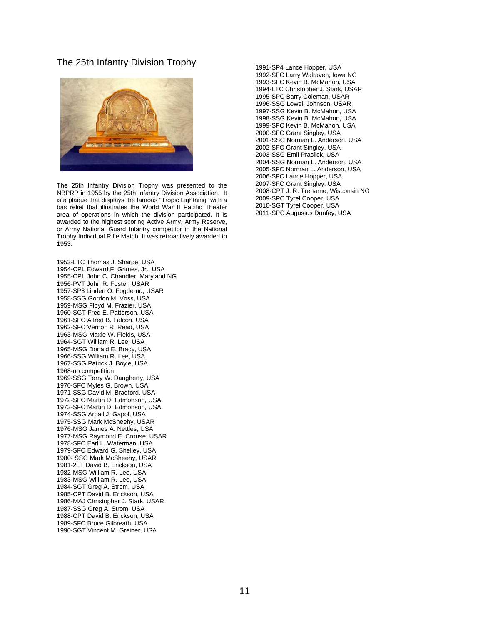#### The 25th Infantry Division Trophy



The 25th Infantry Division Trophy was presented to the NBPRP in 1955 by the 25th Infantry Division Association. It is a plaque that displays the famous "Tropic Lightning" with a bas relief that illustrates the World War II Pacific Theater area of operations in which the division participated. It is awarded to the highest scoring Active Army, Army Reserve, or Army National Guard Infantry competitor in the National Trophy Individual Rifle Match. It was retroactively awarded to 1953.

1953-LTC Thomas J. Sharpe, USA 1954-CPL Edward F. Grimes, Jr., USA 1955-CPL John C. Chandler, Maryland NG 1956-PVT John R. Foster, USAR 1957-SP3 Linden O. Fogderud, USAR 1958-SSG Gordon M. Voss, USA 1959-MSG Floyd M. Frazier, USA 1960-SGT Fred E. Patterson, USA 1961-SFC Alfred B. Falcon, USA 1962-SFC Vernon R. Read, USA 1963-MSG Maxie W. Fields, USA 1964-SGT William R. Lee, USA 1965-MSG Donald E. Bracy, USA 1966-SSG William R. Lee, USA 1967-SSG Patrick J. Boyle, USA 1968-no competition 1969-SSG Terry W. Daugherty, USA 1970-SFC Myles G. Brown, USA 1971-SSG David M. Bradford, USA 1972-SFC Martin D. Edmonson, USA 1973-SFC Martin D. Edmonson, USA 1974-SSG Arpail J. Gapol, USA 1975-SSG Mark McSheehy, USAR 1976-MSG James A. Nettles, USA 1977-MSG Raymond E. Crouse, USAR 1978-SFC Earl L. Waterman, USA 1979-SFC Edward G. Shelley, USA 1980- SSG Mark McSheehy, USAR 1981-2LT David B. Erickson, USA 1982-MSG William R. Lee, USA 1983-MSG William R. Lee, USA 1984-SGT Greg A. Strom, USA 1985-CPT David B. Erickson, USA 1986-MAJ Christopher J. Stark, USAR 1987-SSG Greg A. Strom, USA 1988-CPT David B. Erickson, USA 1989-SFC Bruce Gilbreath, USA 1990-SGT Vincent M. Greiner, USA

1991-SP4 Lance Hopper, USA 1992-SFC Larry Walraven, Iowa NG 1993-SFC Kevin B. McMahon, USA 1994-LTC Christopher J. Stark, USAR 1995-SPC Barry Coleman, USAR 1996-SSG Lowell Johnson, USAR 1997-SSG Kevin B. McMahon, USA 1998-SSG Kevin B. McMahon, USA 1999-SFC Kevin B. McMahon, USA 2000-SFC Grant Singley, USA 2001-SSG Norman L. Anderson, USA 2002-SFC Grant Singley, USA 2003-SSG Emil Praslick, USA 2004-SSG Norman L. Anderson, USA 2005-SFC Norman L. Anderson, USA 2006-SFC Lance Hopper, USA 2007-SFC Grant Singley, USA 2008-CPT J. R. Treharne, Wisconsin NG 2009-SPC Tyrel Cooper, USA 2010-SGT Tyrel Cooper, USA 2011-SPC Augustus Dunfey, USA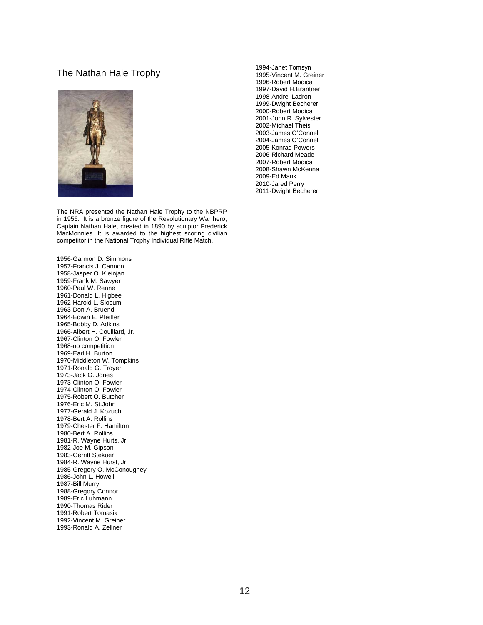### The Nathan Hale Trophy



The NRA presented the Nathan Hale Trophy to the NBPRP in 1956. It is a bronze figure of the Revolutionary War hero, Captain Nathan Hale, created in 1890 by sculptor Frederick MacMonnies. It is awarded to the highest scoring civilian competitor in the National Trophy Individual Rifle Match.

1956-Garmon D. Simmons 1957-Francis J. Cannon 1958-Jasper O. Kleinjan 1959-Frank M. Sawyer 1960-Paul W. Renne 1961-Donald L. Higbee 1962-Harold L. Slocum 1963-Don A. Bruendl 1964-Edwin E. Pfeiffer 1965-Bobby D. Adkins 1966-Albert H. Couillard, Jr. 1967-Clinton O. Fowler 1968-no competition 1969-Earl H. Burton 1970-Middleton W. Tompkins 1971-Ronald G. Troyer 1973-Jack G. Jones 1973-Clinton O. Fowler 1974-Clinton O. Fowler 1975-Robert O. Butcher 1976-Eric M. St.John 1977-Gerald J. Kozuch 1978-Bert A. Rollins 1979-Chester F. Hamilton 1980-Bert A. Rollins 1981-R. Wayne Hurts, Jr. 1982-Joe M. Gipson 1983-Gerritt Stekuer 1984-R. Wayne Hurst, Jr. 1985-Gregory O. McConoughey 1986-John L. Howell 1987-Bill Murry 1988-Gregory Connor 1989-Eric Luhmann 1990-Thomas Rider 1991-Robert Tomasik 1992-Vincent M. Greiner 1993-Ronald A. Zellner

1994-Janet Tomsyn 1995-Vincent M. Greiner 1996-Robert Modica 1997-David H.Brantner 1998-Andrei Ladron 1999-Dwight Becherer 2000-Robert Modica 2001-John R. Sylvester 2002-Michael Theis 2003-James O'Connell 2004-James O'Connell 2005-Konrad Powers 2006-Richard Meade 2007-Robert Modica 2008-Shawn McKenna 2009-Ed Mank 2010-Jared Perry 2011-Dwight Becherer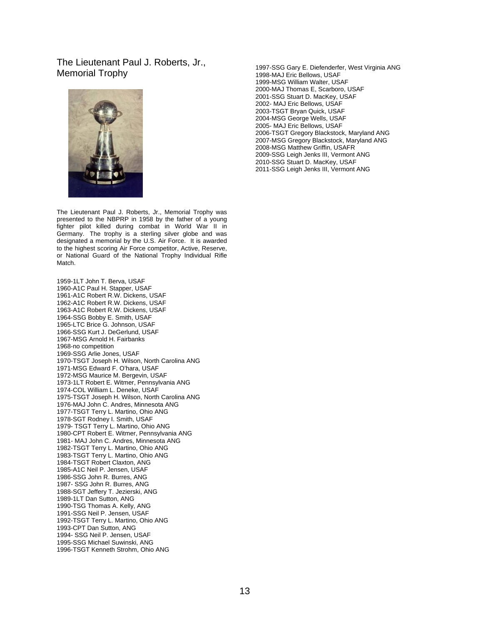### The Lieutenant Paul J. Roberts, Jr., Memorial Trophy



The Lieutenant Paul J. Roberts, Jr., Memorial Trophy was presented to the NBPRP in 1958 by the father of a young fighter pilot killed during combat in World War II in Germany. The trophy is a sterling silver globe and was designated a memorial by the U.S. Air Force. It is awarded to the highest scoring Air Force competitor, Active, Reserve, or National Guard of the National Trophy Individual Rifle Match.

1959-1LT John T. Berva, USAF 1960-A1C Paul H. Stapper, USAF 1961-A1C Robert R.W. Dickens, USAF 1962-A1C Robert R.W. Dickens, USAF 1963-A1C Robert R.W. Dickens, USAF 1964-SSG Bobby E. Smith, USAF 1965-LTC Brice G. Johnson, USAF 1966-SSG Kurt J. DeGerlund, USAF 1967-MSG Arnold H. Fairbanks 1968-no competition 1969-SSG Arlie Jones, USAF 1970-TSGT Joseph H. Wilson, North Carolina ANG 1971-MSG Edward F. O'hara, USAF 1972-MSG Maurice M. Bergevin, USAF 1973-1LT Robert E. Witmer, Pennsylvania ANG 1974-COL William L. Deneke, USAF 1975-TSGT Joseph H. Wilson, North Carolina ANG 1976-MAJ John C. Andres, Minnesota ANG 1977-TSGT Terry L. Martino, Ohio ANG 1978-SGT Rodney I. Smith, USAF 1979- TSGT Terry L. Martino, Ohio ANG 1980-CPT Robert E. Witmer, Pennsylvania ANG 1981- MAJ John C. Andres, Minnesota ANG 1982-TSGT Terry L. Martino, Ohio ANG 1983-TSGT Terry L. Martino, Ohio ANG 1984-TSGT Robert Claxton, ANG 1985-A1C Neil P. Jensen, USAF 1986-SSG John R. Burres, ANG 1987- SSG John R. Burres, ANG 1988-SGT Jeffery T. Jezierski, ANG 1989-1LT Dan Sutton, ANG 1990-TSG Thomas A. Kelly, ANG 1991-SSG Neil P. Jensen, USAF 1992-TSGT Terry L. Martino, Ohio ANG 1993-CPT Dan Sutton, ANG 1994- SSG Neil P. Jensen, USAF 1995-SSG Michael Suwinski, ANG 1996-TSGT Kenneth Strohm, Ohio ANG

1997-SSG Gary E. Diefenderfer, West Virginia ANG 1998-MAJ Eric Bellows, USAF 1999-MSG William Walter, USAF 2000-MAJ Thomas E, Scarboro, USAF 2001-SSG Stuart D. MacKey, USAF 2002- MAJ Eric Bellows, USAF 2003-TSGT Bryan Quick, USAF 2004-MSG George Wells, USAF 2005- MAJ Eric Bellows, USAF 2006-TSGT Gregory Blackstock, Maryland ANG 2007-MSG Gregory Blackstock, Maryland ANG 2008-MSG Matthew Griffin, USAFR 2009-SSG Leigh Jenks III, Vermont ANG 2010-SSG Stuart D. MacKey, USAF 2011-SSG Leigh Jenks III, Vermont ANG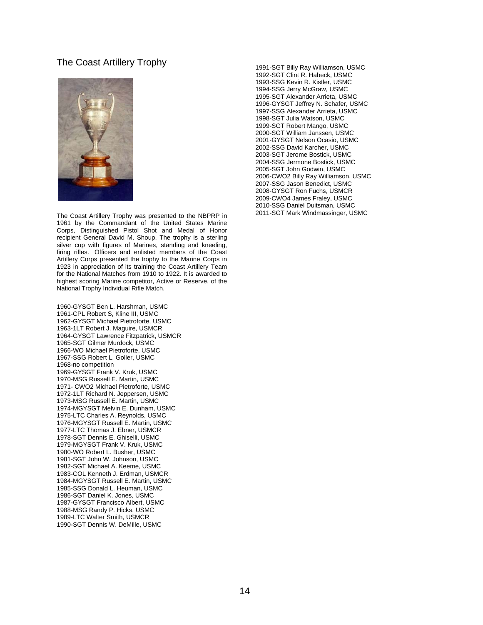### The Coast Artillery Trophy



The Coast Artillery Trophy was presented to the NBPRP in 1961 by the Commandant of the United States Marine Corps, Distinguished Pistol Shot and Medal of Honor recipient General David M. Shoup. The trophy is a sterling silver cup with figures of Marines, standing and kneeling, firing rifles. Officers and enlisted members of the Coast Artillery Corps presented the trophy to the Marine Corps in 1923 in appreciation of its training the Coast Artillery Team for the National Matches from 1910 to 1922. It is awarded to highest scoring Marine competitor, Active or Reserve, of the National Trophy Individual Rifle Match.

1960-GYSGT Ben L. Harshman, USMC 1961-CPL Robert S, Kline III, USMC 1962-GYSGT Michael Pietroforte, USMC 1963-1LT Robert J. Maguire, USMCR 1964-GYSGT Lawrence Fitzpatrick, USMCR 1965-SGT Gilmer Murdock, USMC 1966-WO Michael Pietroforte, USMC 1967-SSG Robert L. Goller, USMC 1968-no competition 1969-GYSGT Frank V. Kruk, USMC 1970-MSG Russell E. Martin, USMC 1971- CWO2 Michael Pietroforte, USMC 1972-1LT Richard N. Jeppersen, USMC 1973-MSG Russell E. Martin, USMC 1974-MGYSGT Melvin E. Dunham, USMC 1975-LTC Charles A. Reynolds, USMC 1976-MGYSGT Russell E. Martin, USMC 1977-LTC Thomas J. Ebner, USMCR 1978-SGT Dennis E. Ghiselli, USMC 1979-MGYSGT Frank V. Kruk, USMC 1980-WO Robert L. Busher, USMC 1981-SGT John W. Johnson, USMC 1982-SGT Michael A. Keeme, USMC 1983-COL Kenneth J. Erdman, USMCR 1984-MGYSGT Russell E. Martin, USMC 1985-SSG Donald L. Heuman, USMC 1986-SGT Daniel K. Jones, USMC 1987-GYSGT Francisco Albert, USMC 1988-MSG Randy P. Hicks, USMC 1989-LTC Walter Smith, USMCR 1990-SGT Dennis W. DeMille, USMC

1991-SGT Billy Ray Williamson, USMC 1992-SGT Clint R. Habeck, USMC 1993-SSG Kevin R. Kistler, USMC 1994-SSG Jerry McGraw, USMC 1995-SGT Alexander Arrieta, USMC 1996-GYSGT Jeffrey N. Schafer, USMC 1997-SSG Alexander Arrieta, USMC 1998-SGT Julia Watson, USMC 1999-SGT Robert Mango, USMC 2000-SGT William Janssen, USMC 2001-GYSGT Nelson Ocasio, USMC 2002-SSG David Karcher, USMC 2003-SGT Jerome Bostick, USMC 2004-SSG Jermone Bostick, USMC 2005-SGT John Godwin, USMC 2006-CWO2 Billy Ray Williamson, USMC 2007-SSG Jason Benedict, USMC 2008-GYSGT Ron Fuchs, USMCR 2009-CWO4 James Fraley, USMC 2010-SSG Daniel Duitsman, USMC 2011-SGT Mark Windmassinger, USMC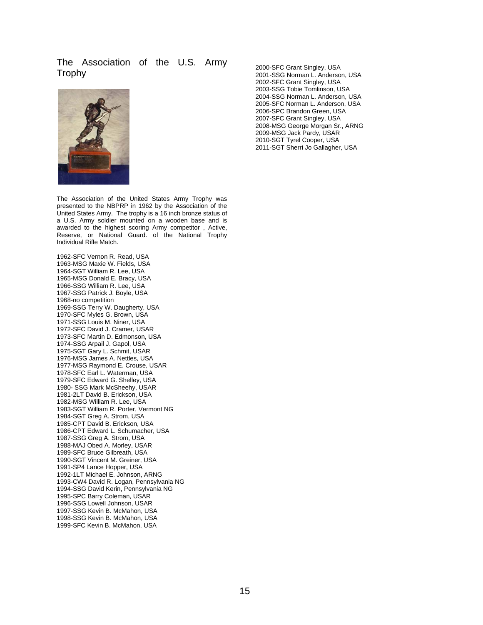### The Association of the U.S. Army Trophy



The Association of the United States Army Trophy was presented to the NBPRP in 1962 by the Association of the United States Army. The trophy is a 16 inch bronze status of a U.S. Army soldier mounted on a wooden base and is awarded to the highest scoring Army competitor , Active, Reserve, or National Guard. of the National Trophy Individual Rifle Match.

1962-SFC Vernon R. Read, USA 1963-MSG Maxie W. Fields, USA 1964-SGT William R. Lee, USA 1965-MSG Donald E. Bracy, USA 1966-SSG William R. Lee, USA 1967-SSG Patrick J. Boyle, USA 1968-no competition 1969-SSG Terry W. Daugherty, USA 1970-SFC Myles G. Brown, USA 1971-SSG Louis M. Niner, USA 1972-SFC David J. Cramer, USAR 1973-SFC Martin D. Edmonson, USA 1974-SSG Arpail J. Gapol, USA 1975-SGT Gary L. Schmit, USAR 1976-MSG James A. Nettles, USA 1977-MSG Raymond E. Crouse, USAR 1978-SFC Earl L. Waterman, USA 1979-SFC Edward G. Shelley, USA 1980- SSG Mark McSheehy, USAR 1981-2LT David B. Erickson, USA 1982-MSG William R. Lee, USA 1983-SGT William R. Porter, Vermont NG 1984-SGT Greg A. Strom, USA 1985-CPT David B. Erickson, USA 1986-CPT Edward L. Schumacher, USA 1987-SSG Greg A. Strom, USA 1988-MAJ Obed A. Morley, USAR 1989-SFC Bruce Gilbreath, USA 1990-SGT Vincent M. Greiner, USA 1991-SP4 Lance Hopper, USA 1992-1LT Michael E. Johnson, ARNG 1993-CW4 David R. Logan, Pennsylvania NG 1994-SSG David Kerin, Pennsylvania NG 1995-SPC Barry Coleman, USAR 1996-SSG Lowell Johnson, USAR 1997-SSG Kevin B. McMahon, USA 1998-SSG Kevin B. McMahon, USA 1999-SFC Kevin B. McMahon, USA

2000-SFC Grant Singley, USA 2001-SSG Norman L. Anderson, USA 2002-SFC Grant Singley, USA 2003-SSG Tobie Tomlinson, USA 2004-SSG Norman L. Anderson, USA 2005-SFC Norman L. Anderson, USA 2006-SPC Brandon Green, USA 2007-SFC Grant Singley, USA 2008-MSG George Morgan Sr., ARNG 2009-MSG Jack Pardy, USAR 2010-SGT Tyrel Cooper, USA 2011-SGT Sherri Jo Gallagher, USA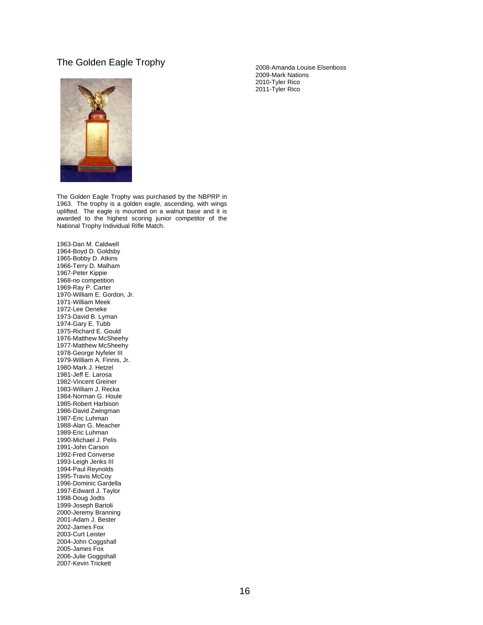### The Golden Eagle Trophy

The Golden Eagle Trophy was purchased by the NBPRP in 1963. The trophy is a golden eagle, ascending, with wings uplifted. The eagle is mounted on a walnut base and it is awarded to the highest scoring junior competitor of the National Trophy Individual Rifle Match.

1963-Dan M. Caldwell 1964-Boyd D. Goldsby 1965-Bobby D. Atkins 1966-Terry D. Malham 1967-Peter Kippie 1968-no competition 1969-Ray P. Carter 1970-William E. Gordon, Jr. 1971-William Meek 1972-Lee Deneke 1973-David B. Lyman 1974-Gary E. Tubb 1975-Richard E. Gould 1976-Matthew McSheehy 1977-Matthew McSheehy 1978-George Nyfeler III 1979-William A. Finnis, Jr. 1980-Mark J. Hetzel 1981-Jeff E. Larosa 1982-Vincent Greiner 1983-William J. Recka 1984-Norman G. Houle 1985-Robert Harbison 1986-David Zwingman 1987-Eric Luhman 1988-Alan G. Meacher 1989-Eric Luhman 1990-Michael J. Pelis 1991-John Carson 1992-Fred Converse 1993-Leigh Jenks III 1994-Paul Reynolds 1995-Travis McCoy 1996-Dominic Gardella 1997-Edward J. Taylor 1998-Doug Jodts 1999-Joseph Bartoli 2000-Jeremy Branning 2001-Adam J. Bester 2002-James Fox 2003-Curt Leister 2004-John Coggshall 2005-James Fox 2006-Julie Goggshall 2007-Kevin Trickett

2008-Amanda Louise Elsenboss 2009-Mark Nations 2010-Tyler Rico 2011-Tyler Rico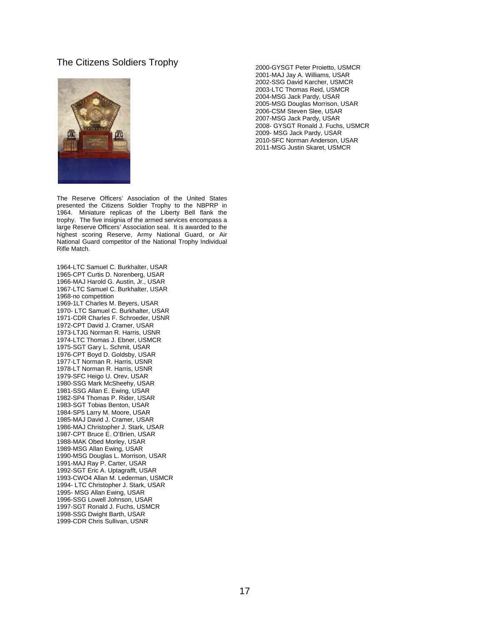#### The Citizens Soldiers Trophy



The Reserve Officers' Association of the United States presented the Citizens Soldier Trophy to the NBPRP in 1964. Miniature replicas of the Liberty Bell flank the trophy. The five insignia of the armed services encompass a large Reserve Officers' Association seal. It is awarded to the highest scoring Reserve, Army National Guard, or Air National Guard competitor of the National Trophy Individual Rifle Match.

1964-LTC Samuel C. Burkhalter, USAR 1965-CPT Curtis D. Norenberg, USAR 1966-MAJ Harold G. Austin, Jr., USAR 1967-LTC Samuel C. Burkhalter, USAR 1968-no competition 1969-1LT Charles M. Beyers, USAR 1970- LTC Samuel C. Burkhalter, USAR 1971-CDR Charles F. Schroeder, USNR 1972-CPT David J. Cramer, USAR 1973-LTJG Norman R. Harris, USNR 1974-LTC Thomas J. Ebner, USMCR 1975-SGT Gary L. Schmit, USAR 1976-CPT Boyd D. Goldsby, USAR 1977-LT Norman R. Harris, USNR 1978-LT Norman R. Harris, USNR 1979-SFC Heigo U. Orev, USAR 1980-SSG Mark McSheehy, USAR 1981-SSG Allan E. Ewing, USAR 1982-SP4 Thomas P. Rider, USAR 1983-SGT Tobias Benton, USAR 1984-SP5 Larry M. Moore, USAR 1985-MAJ David J. Cramer, USAR 1986-MAJ Christopher J. Stark, USAR 1987-CPT Bruce E. O'Brien, USAR 1988-MAK Obed Morley, USAR 1989-MSG Allan Ewing, USAR 1990-MSG Douglas L. Morrison, USAR 1991-MAJ Ray P. Carter, USAR 1992-SGT Eric A. Uptagrafft, USAR 1993-CWO4 Allan M. Lederman, USMCR 1994- LTC Christopher J. Stark, USAR 1995- MSG Allan Ewing, USAR 1996-SSG Lowell Johnson, USAR 1997-SGT Ronald J. Fuchs, USMCR 1998-SSG Dwight Barth, USAR 1999-CDR Chris Sullivan, USNR

2000-GYSGT Peter Proietto, USMCR 2001-MAJ Jay A. Williams, USAR 2002-SSG David Karcher, USMCR 2003-LTC Thomas Reid, USMCR 2004-MSG Jack Pardy, USAR 2005-MSG Douglas Morrison, USAR 2006-CSM Steven Slee, USAR 2007-MSG Jack Pardy, USAR 2008- GYSGT Ronald J. Fuchs, USMCR 2009- MSG Jack Pardy, USAR 2010-SFC Norman Anderson, USAR 2011-MSG Justin Skaret, USMCR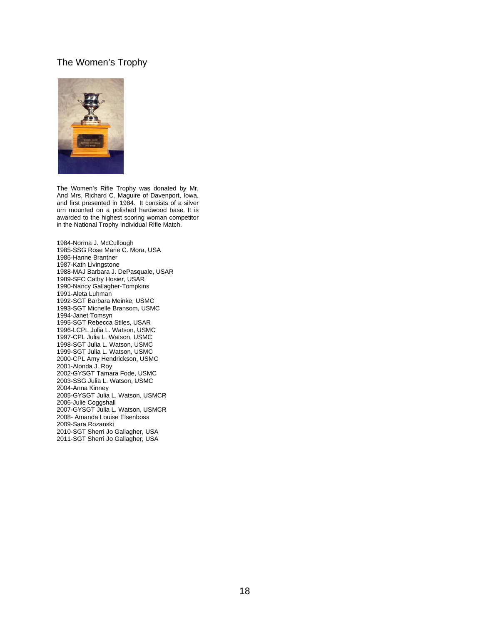# The Women's Trophy



The Women's Rifle Trophy was donated by Mr. And Mrs. Richard C. Maguire of Davenport, Iowa, and first presented in 1984. It consists of a silver urn mounted on a polished hardwood base. It is awarded to the highest scoring woman competitor in the National Trophy Individual Rifle Match.

1984-Norma J. McCullough 1985-SSG Rose Marie C. Mora, USA 1986-Hanne Brantner 1987-Kath Livingstone 1988-MAJ Barbara J. DePasquale, USAR 1989-SFC Cathy Hosier, USAR 1990-Nancy Gallagher-Tompkins 1991-Aleta Luhman 1992-SGT Barbara Meinke, USMC 1993-SGT Michelle Bransom, USMC 1994-Janet Tomsyn 1995-SGT Rebecca Stiles, USAR 1996-LCPL Julia L. Watson, USMC 1997-CPL Julia L. Watson, USMC 1998-SGT Julia L. Watson, USMC 1999-SGT Julia L. Watson, USMC 2000-CPL Amy Hendrickson, USMC 2001-Alonda J. Roy 2002-GYSGT Tamara Fode, USMC 2003-SSG Julia L. Watson, USMC 2004-Anna Kinney 2005-GYSGT Julia L. Watson, USMCR 2006-Julie Coggshall 2007-GYSGT Julia L. Watson, USMCR 2008- Amanda Louise Elsenboss 2009-Sara Rozanski 2010-SGT Sherri Jo Gallagher, USA 2011-SGT Sherri Jo Gallagher, USA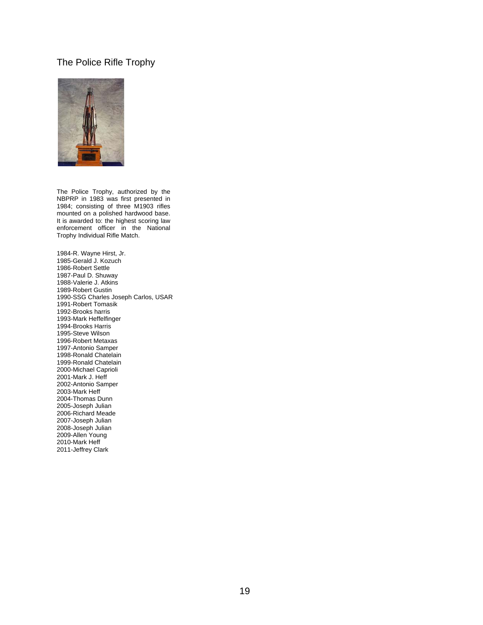# The Police Rifle Trophy



The Police Trophy, authorized by the NBPRP in 1983 was first presented in 1984; consisting of three M1903 rifles mounted on a polished hardwood base. It is awarded to: the highest scoring law enforcement officer in the National Trophy Individual Rifle Match.

1984-R. Wayne Hirst, Jr. 1985-Gerald J. Kozuch 1986-Robert Settle 1987-Paul D. Shuway 1988-Valerie J. Atkins 1989-Robert Gustin 1990-SSG Charles Joseph Carlos, USAR 1991-Robert Tomasik 1992-Brooks harris 1993-Mark Heffelfinger 1994-Brooks Harris 1995-Steve Wilson 1996-Robert Metaxas 1997-Antonio Samper 1998-Ronald Chatelain 1999-Ronald Chatelain 2000-Michael Caprioli 2001-Mark J. Heff 2002-Antonio Samper 2003-Mark Heff 2004-Thomas Dunn 2005-Joseph Julian 2006-Richard Meade 2007-Joseph Julian 2008-Joseph Julian 2009-Allen Young 2010-Mark Heff 2011-Jeffrey Clark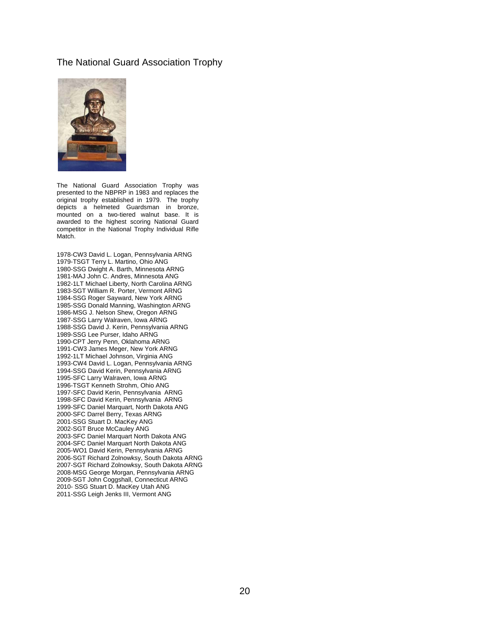### The National Guard Association Trophy



The National Guard Association Trophy was presented to the NBPRP in 1983 and replaces the original trophy established in 1979. The trophy depicts a helmeted Guardsman in bronze, mounted on a two-tiered walnut base. It is awarded to the highest scoring National Guard competitor in the National Trophy Individual Rifle Match.

1978-CW3 David L. Logan, Pennsylvania ARNG 1979-TSGT Terry L. Martino, Ohio ANG 1980-SSG Dwight A. Barth, Minnesota ARNG 1981-MAJ John C. Andres, Minnesota ANG 1982-1LT Michael Liberty, North Carolina ARNG 1983-SGT William R. Porter, Vermont ARNG 1984-SSG Roger Sayward, New York ARNG 1985-SSG Donald Manning, Washington ARNG 1986-MSG J. Nelson Shew, Oregon ARNG 1987-SSG Larry Walraven, Iowa ARNG 1988-SSG David J. Kerin, Pennsylvania ARNG 1989-SSG Lee Purser, Idaho ARNG 1990-CPT Jerry Penn, Oklahoma ARNG 1991-CW3 James Meger, New York ARNG 1992-1LT Michael Johnson, Virginia ANG 1993-CW4 David L. Logan, Pennsylvania ARNG 1994-SSG David Kerin, Pennsylvania ARNG 1995-SFC Larry Walraven, Iowa ARNG 1996-TSGT Kenneth Strohm, Ohio ANG 1997-SFC David Kerin, Pennsylvania ARNG 1998-SFC David Kerin, Pennsylvania ARNG 1999-SFC Daniel Marquart, North Dakota ANG 2000-SFC Darrel Berry, Texas ARNG 2001-SSG Stuart D. MacKey ANG 2002-SGT Bruce McCauley ANG 2003-SFC Daniel Marquart North Dakota ANG 2004-SFC Daniel Marquart North Dakota ANG 2005-WO1 David Kerin, Pennsylvania ARNG 2006-SGT Richard Zolnowksy, South Dakota ARNG 2007-SGT Richard Zolnowksy, South Dakota ARNG 2008-MSG George Morgan, Pennsylvania ARNG 2009-SGT John Coggshall, Connecticut ARNG 2010- SSG Stuart D. MacKey Utah ANG 2011-SSG Leigh Jenks III, Vermont ANG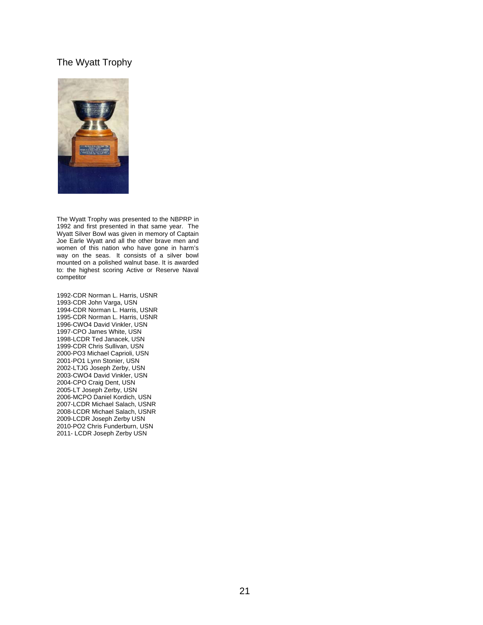# The Wyatt Trophy



The Wyatt Trophy was presented to the NBPRP in 1992 and first presented in that same year. The Wyatt Silver Bowl was given in memory of Captain Joe Earle Wyatt and all the other brave men and women of this nation who have gone in harm's way on the seas. It consists of a silver bowl mounted on a polished walnut base. It is awarded to: the highest scoring Active or Reserve Naval competitor

1992-CDR Norman L. Harris, USNR 1993-CDR John Varga, USN 1994-CDR Norman L. Harris, USNR 1995-CDR Norman L. Harris, USNR 1996-CWO4 David Vinkler, USN 1997-CPO James White, USN 1998-LCDR Ted Janacek, USN 1999-CDR Chris Sullivan, USN 2000-PO3 Michael Caprioli, USN 2001-PO1 Lynn Stonier, USN 2002-LTJG Joseph Zerby, USN 2003-CWO4 David Vinkler, USN 2004-CPO Craig Dent, USN 2005-LT Joseph Zerby, USN 2006-MCPO Daniel Kordich, USN 2007-LCDR Michael Salach, USNR 2008-LCDR Michael Salach, USNR 2009-LCDR Joseph Zerby USN 2010-PO2 Chris Funderburn, USN 2011- LCDR Joseph Zerby USN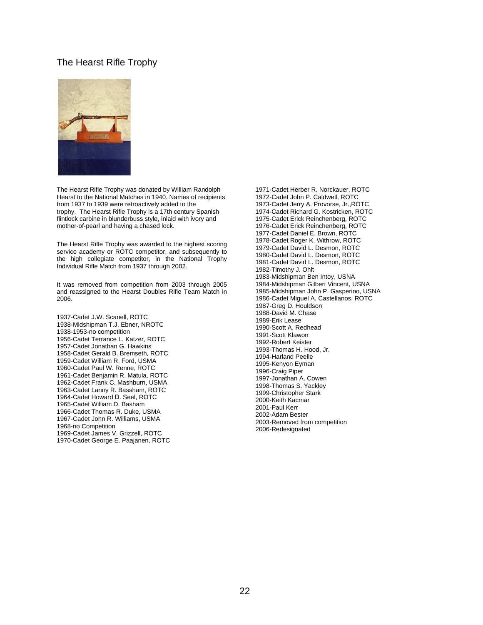### The Hearst Rifle Trophy



The Hearst Rifle Trophy was donated by William Randolph Hearst to the National Matches in 1940. Names of recipients from 1937 to 1939 were retroactively added to the trophy. The Hearst Rifle Trophy is a 17th century Spanish flintlock carbine in blunderbuss style, inlaid with ivory and mother-of-pearl and having a chased lock.

The Hearst Rifle Trophy was awarded to the highest scoring service academy or ROTC competitor, and subsequently to the high collegiate competitor, in the National Trophy Individual Rifle Match from 1937 through 2002.

It was removed from competition from 2003 through 2005 and reassigned to the Hearst Doubles Rifle Team Match in 2006.

1937-Cadet J.W. Scanell, ROTC 1938-Midshipman T.J. Ebner, NROTC 1938-1953-no competition 1956-Cadet Terrance L. Katzer, ROTC 1957-Cadet Jonathan G. Hawkins 1958-Cadet Gerald B. Bremseth, ROTC 1959-Cadet William R. Ford, USMA 1960-Cadet Paul W. Renne, ROTC 1961-Cadet Benjamin R. Matula, ROTC 1962-Cadet Frank C. Mashburn, USMA 1963-Cadet Lanny R. Bassham, ROTC 1964-Cadet Howard D. Seel, ROTC 1965-Cadet William D. Basham 1966-Cadet Thomas R. Duke, USMA 1967-Cadet John R. Williams, USMA 1968-no Competition 1969-Cadet James V. Grizzell, ROTC 1970-Cadet George E. Paajanen, ROTC

1971-Cadet Herber R. Norckauer, ROTC 1972-Cadet John P. Caldwell, ROTC 1973-Cadet Jerry A. Provorse, Jr.,ROTC 1974-Cadet Richard G. Kostricken, ROTC 1975-Cadet Erick Reinchenberg, ROTC 1976-Cadet Erick Reinchenberg, ROTC 1977-Cadet Daniel E. Brown, ROTC 1978-Cadet Roger K. Withrow, ROTC 1979-Cadet David L. Desmon, ROTC 1980-Cadet David L. Desmon, ROTC 1981-Cadet David L. Desmon, ROTC 1982-Timothy J. Ohlt 1983-Midshipman Ben Intoy, USNA 1984-Midshipman Gilbert Vincent, USNA 1985-Midshipman John P. Gasperino, USNA 1986-Cadet Miguel A. Castellanos, ROTC 1987-Greg D. Houldson 1988-David M. Chase 1989-Erik Lease 1990-Scott A. Redhead 1991-Scott Klawon 1992-Robert Keister 1993-Thomas H. Hood, Jr. 1994-Harland Peelle 1995-Kenyon Eyman 1996-Craig Piper 1997-Jonathan A. Cowen 1998-Thomas S. Yackley 1999-Christopher Stark 2000-Keith Kacmar 2001-Paul Kerr 2002-Adam Bester 2003-Removed from competition 2006-Redesignated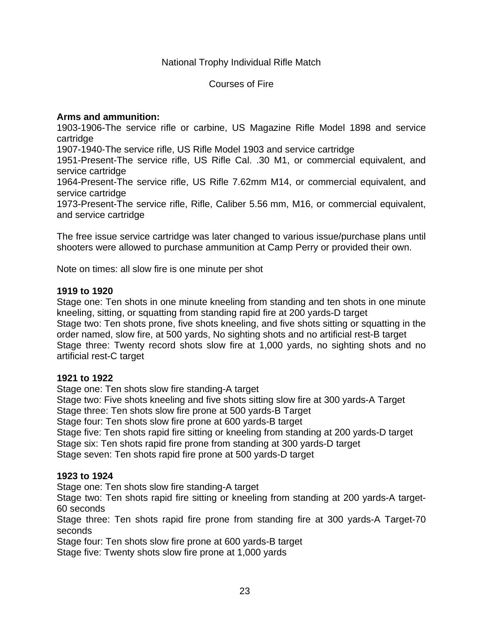National Trophy Individual Rifle Match

Courses of Fire

# **Arms and ammunition:**

1903-1906-The service rifle or carbine, US Magazine Rifle Model 1898 and service cartridge

1907-1940-The service rifle, US Rifle Model 1903 and service cartridge

1951-Present-The service rifle, US Rifle Cal. .30 M1, or commercial equivalent, and service cartridge

1964-Present-The service rifle, US Rifle 7.62mm M14, or commercial equivalent, and service cartridge

1973-Present-The service rifle, Rifle, Caliber 5.56 mm, M16, or commercial equivalent, and service cartridge

The free issue service cartridge was later changed to various issue/purchase plans until shooters were allowed to purchase ammunition at Camp Perry or provided their own.

Note on times: all slow fire is one minute per shot

# **1919 to 1920**

Stage one: Ten shots in one minute kneeling from standing and ten shots in one minute kneeling, sitting, or squatting from standing rapid fire at 200 yards-D target Stage two: Ten shots prone, five shots kneeling, and five shots sitting or squatting in the order named, slow fire, at 500 yards, No sighting shots and no artificial rest-B target Stage three: Twenty record shots slow fire at 1,000 yards, no sighting shots and no artificial rest-C target

## **1921 to 1922**

Stage one: Ten shots slow fire standing-A target Stage two: Five shots kneeling and five shots sitting slow fire at 300 yards-A Target

Stage three: Ten shots slow fire prone at 500 yards-B Target

Stage four: Ten shots slow fire prone at 600 yards-B target

Stage five: Ten shots rapid fire sitting or kneeling from standing at 200 yards-D target Stage six: Ten shots rapid fire prone from standing at 300 yards-D target Stage seven: Ten shots rapid fire prone at 500 yards-D target

## **1923 to 1924**

Stage one: Ten shots slow fire standing-A target

Stage two: Ten shots rapid fire sitting or kneeling from standing at 200 yards-A target-60 seconds

Stage three: Ten shots rapid fire prone from standing fire at 300 yards-A Target-70 seconds

Stage four: Ten shots slow fire prone at 600 yards-B target

Stage five: Twenty shots slow fire prone at 1,000 yards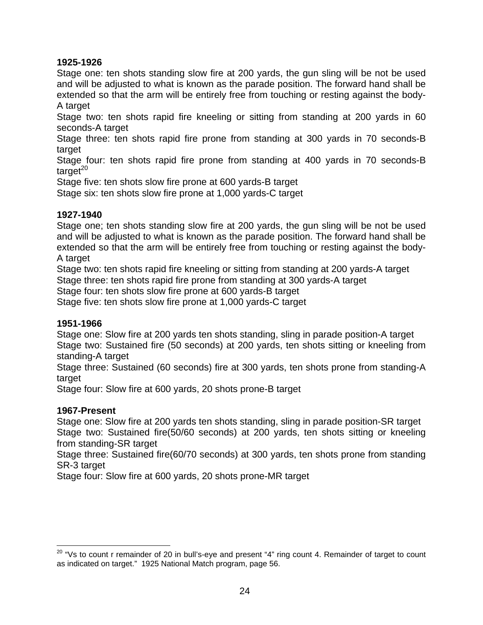# **1925-1926**

Stage one: ten shots standing slow fire at 200 yards, the gun sling will be not be used and will be adjusted to what is known as the parade position. The forward hand shall be extended so that the arm will be entirely free from touching or resting against the body-A target

Stage two: ten shots rapid fire kneeling or sitting from standing at 200 yards in 60 seconds-A target

Stage three: ten shots rapid fire prone from standing at 300 yards in 70 seconds-B target

Stage four: ten shots rapid fire prone from standing at 400 yards in 70 seconds-B  $t \text{ar}\mathrm{det}^{20}$ 

Stage five: ten shots slow fire prone at 600 yards-B target

Stage six: ten shots slow fire prone at 1,000 yards-C target

# **1927-1940**

Stage one; ten shots standing slow fire at 200 yards, the gun sling will be not be used and will be adjusted to what is known as the parade position. The forward hand shall be extended so that the arm will be entirely free from touching or resting against the body-A target

Stage two: ten shots rapid fire kneeling or sitting from standing at 200 yards-A target Stage three: ten shots rapid fire prone from standing at 300 yards-A target

Stage four: ten shots slow fire prone at 600 yards-B target

Stage five: ten shots slow fire prone at 1,000 yards-C target

## **1951-1966**

Stage one: Slow fire at 200 yards ten shots standing, sling in parade position-A target Stage two: Sustained fire (50 seconds) at 200 yards, ten shots sitting or kneeling from standing-A target

Stage three: Sustained (60 seconds) fire at 300 yards, ten shots prone from standing-A target

Stage four: Slow fire at 600 yards, 20 shots prone-B target

# **1967-Present**

 $\overline{a}$ 

Stage one: Slow fire at 200 yards ten shots standing, sling in parade position-SR target Stage two: Sustained fire(50/60 seconds) at 200 yards, ten shots sitting or kneeling from standing-SR target

Stage three: Sustained fire(60/70 seconds) at 300 yards, ten shots prone from standing SR-3 target

Stage four: Slow fire at 600 yards, 20 shots prone-MR target

 $^{20}$  "Vs to count r remainder of 20 in bull's-eye and present "4" ring count 4. Remainder of target to count as indicated on target." 1925 National Match program, page 56.